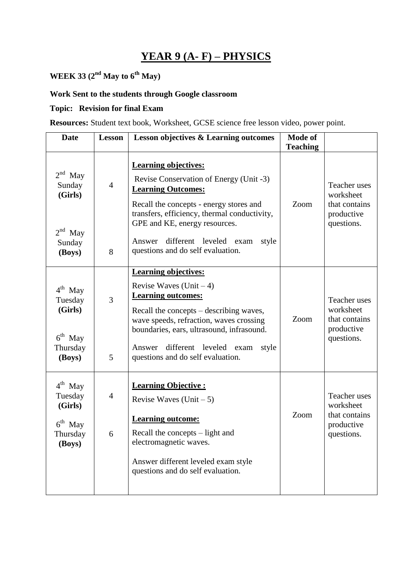## **YEAR 9 (A- F) – PHYSICS**

# **WEEK 33 (2nd May to 6th May)**

### **Work Sent to the students through Google classroom**

### **Topic: Revision for final Exam**

**Resources:** Student text book, Worksheet, GCSE science free lesson video, power point.

| <b>Date</b>                                                                  | <b>Lesson</b>       | <b>Lesson objectives &amp; Learning outcomes</b>                                                                                                                                                                                                                                                                  | Mode of<br><b>Teaching</b> |                                                                               |
|------------------------------------------------------------------------------|---------------------|-------------------------------------------------------------------------------------------------------------------------------------------------------------------------------------------------------------------------------------------------------------------------------------------------------------------|----------------------------|-------------------------------------------------------------------------------|
| $2nd$ May<br>Sunday<br>(Girls)<br>$2nd$ May<br>Sunday<br>(Boys)              | $\overline{4}$<br>8 | <b>Learning objectives:</b><br>Revise Conservation of Energy (Unit -3)<br><b>Learning Outcomes:</b><br>Recall the concepts - energy stores and<br>transfers, efficiency, thermal conductivity,<br>GPE and KE, energy resources.<br>different leveled exam<br>style<br>Answer<br>questions and do self evaluation. | Zoom                       | Teacher uses<br>worksheet<br>that contains<br>productive<br>questions.        |
| $4^{\text{th}}$ May<br>Tuesday<br>(Girls)<br>$6th$ May<br>Thursday<br>(Boys) | 3<br>5              | <b>Learning objectives:</b><br>Revise Waves (Unit $-4$ )<br><b>Learning outcomes:</b><br>Recall the concepts – describing waves,<br>wave speeds, refraction, waves crossing<br>boundaries, ears, ultrasound, infrasound.<br>different leveled exam<br>Answer<br>style<br>questions and do self evaluation.        | Zoom                       | <b>Teacher</b> uses<br>worksheet<br>that contains<br>productive<br>questions. |
| $4^{th}$ May<br>Tuesday<br>(Girls)<br>$6th$ May<br>Thursday<br>(Boys)        | $\overline{4}$<br>6 | <b>Learning Objective:</b><br>Revise Waves $(Unit - 5)$<br><b>Learning outcome:</b><br>Recall the concepts – light and<br>electromagnetic waves.<br>Answer different leveled exam style<br>questions and do self evaluation.                                                                                      | Zoom                       | Teacher uses<br>worksheet<br>that contains<br>productive<br>questions.        |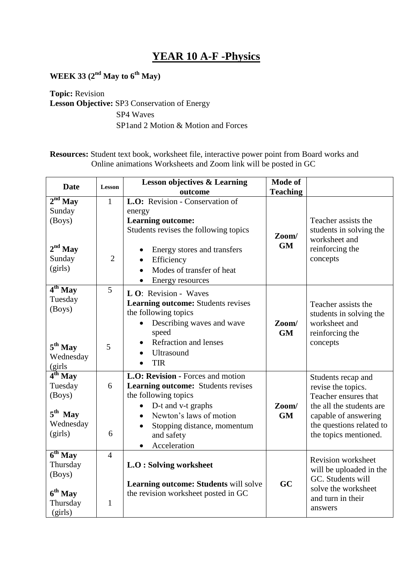### **YEAR 10 A-F -Physics**

**WEEK 33 (2nd May to 6th May)**

#### **Topic:** Revision **Lesson Objective:** SP3 Conservation of Energy SP4 Waves SP1and 2 Motion & Motion and Forces

**Resources:** Student text book, worksheet file, interactive power point from Board works and Online animations Worksheets and Zoom link will be posted in GC

| <b>Date</b>         | Lesson         | <b>Lesson objectives &amp; Learning</b>   | <b>Mode of</b>  |                                              |
|---------------------|----------------|-------------------------------------------|-----------------|----------------------------------------------|
|                     |                | outcome                                   | <b>Teaching</b> |                                              |
| $2nd$ May           | $\mathbf{1}$   | L.O: Revision - Conservation of           |                 |                                              |
| Sunday              |                | energy                                    |                 |                                              |
| (Boys)              |                | <b>Learning outcome:</b>                  |                 | Teacher assists the                          |
|                     |                | Students revises the following topics     |                 | students in solving the                      |
|                     |                |                                           | Zoom/           | worksheet and                                |
| $2nd$ May           |                | Energy stores and transfers<br>$\bullet$  | GM              | reinforcing the                              |
| Sunday              | $\overline{2}$ | Efficiency<br>$\bullet$                   |                 | concepts                                     |
| (girls)             |                | Modes of transfer of heat<br>$\bullet$    |                 |                                              |
|                     |                | Energy resources                          |                 |                                              |
| $4th$ May           | 5              | L O: Revision - Waves                     |                 |                                              |
| Tuesday             |                | <b>Learning outcome:</b> Students revises |                 |                                              |
| (Boys)              |                | the following topics                      |                 | Teacher assists the                          |
|                     |                |                                           |                 | students in solving the                      |
|                     |                | Describing waves and wave<br>$\bullet$    | Zoom/           | worksheet and                                |
|                     |                | speed                                     | <b>GM</b>       | reinforcing the                              |
| $5^{\text{th}}$ May | 5              | <b>Refraction and lenses</b>              |                 | concepts                                     |
| Wednesday           |                | <b>Ultrasound</b>                         |                 |                                              |
| (girls              |                | <b>TIR</b>                                |                 |                                              |
| $4th$ May           |                | L.O: Revision - Forces and motion         |                 | Students recap and                           |
| Tuesday             | 6              | <b>Learning outcome:</b> Students revises |                 | revise the topics.                           |
| (Boys)              |                | the following topics                      |                 | Teacher ensures that                         |
|                     |                | D-t and v-t graphs<br>$\bullet$           | Zoom/           | the all the students are                     |
| $5^{\text{th}}$ May |                | Newton's laws of motion<br>$\bullet$      | <b>GM</b>       | capable of answering                         |
| Wednesday           |                | Stopping distance, momentum               |                 | the questions related to                     |
| (girls)             | 6              | and safety                                |                 | the topics mentioned.                        |
|                     |                | Acceleration                              |                 |                                              |
| $6th$ May           | $\overline{4}$ |                                           |                 |                                              |
| Thursday            |                | <b>L.O</b> : Solving worksheet            |                 | Revision worksheet                           |
| (Boys)              |                |                                           |                 | will be uploaded in the<br>GC. Students will |
|                     |                | Learning outcome: Students will solve     | GC              | solve the worksheet                          |
| 6 <sup>th</sup> May |                | the revision worksheet posted in GC       |                 | and turn in their                            |
| Thursday            | $\mathbf{1}$   |                                           |                 |                                              |
| (girls)             |                |                                           |                 | answers                                      |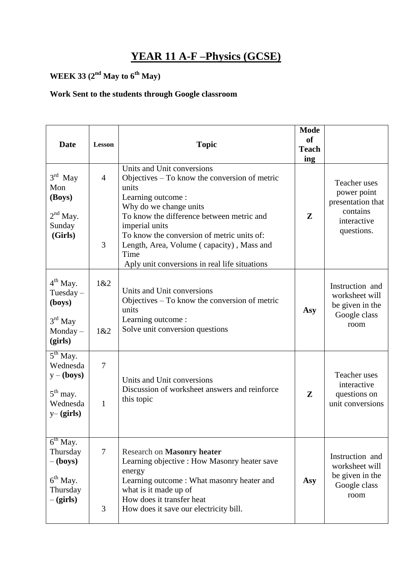# **YEAR 11 A-F –Physics (GCSE)**

# **WEEK 33 (2nd May to 6th May)**

### **Work Sent to the students through Google classroom**

|                                                                                                |                                |                                                                                                                                                                                                                                                                                                                                                          | <b>Mode</b>               |                                                                                           |
|------------------------------------------------------------------------------------------------|--------------------------------|----------------------------------------------------------------------------------------------------------------------------------------------------------------------------------------------------------------------------------------------------------------------------------------------------------------------------------------------------------|---------------------------|-------------------------------------------------------------------------------------------|
| <b>Date</b>                                                                                    | Lesson                         | <b>Topic</b>                                                                                                                                                                                                                                                                                                                                             | <b>of</b><br><b>Teach</b> |                                                                                           |
|                                                                                                |                                |                                                                                                                                                                                                                                                                                                                                                          | ing                       |                                                                                           |
| $3rd$ May<br>Mon<br>(Boys)<br>$2nd$ May.<br>Sunday<br>(Girls)                                  | $\overline{4}$<br>3            | Units and Unit conversions<br>Objectives $-$ To know the conversion of metric<br>units<br>Learning outcome:<br>Why do we change units<br>To know the difference between metric and<br>imperial units<br>To know the conversion of metric units of:<br>Length, Area, Volume (capacity), Mass and<br>Time<br>Aply unit conversions in real life situations | Z                         | Teacher uses<br>power point<br>presentation that<br>contains<br>interactive<br>questions. |
| 4 <sup>th</sup> May.<br>Tuesday $-$<br>(boys)<br>$3rd$ May<br>$Monday -$<br>(girls)            | 1&2<br>1&2                     | Units and Unit conversions<br>Objectives - To know the conversion of metric<br>units<br>Learning outcome :<br>Solve unit conversion questions                                                                                                                                                                                                            | Asy                       | Instruction and<br>worksheet will<br>be given in the<br>Google class<br>room              |
| $5th$ May.<br>Wednesda<br>$y - ($ boys $)$<br>$5th$ may.<br>Wednesda<br>$y - (girls)$          | $\overline{7}$<br>$\mathbf{1}$ | Units and Unit conversions<br>Discussion of worksheet answers and reinforce<br>this topic                                                                                                                                                                                                                                                                | $\mathbf{Z}$              | Teacher uses<br>interactive<br>questions on<br>unit conversions                           |
| $6th$ May.<br>Thursday<br>$-(\mathbf{boys})$<br>6 <sup>th</sup> May.<br>Thursday<br>$-(girls)$ | $\tau$<br>3                    | <b>Research on Masonry heater</b><br>Learning objective : How Masonry heater save<br>energy<br>Learning outcome: What masonry heater and<br>what is it made up of<br>How does it transfer heat<br>How does it save our electricity bill.                                                                                                                 | Asy                       | Instruction and<br>worksheet will<br>be given in the<br>Google class<br>room              |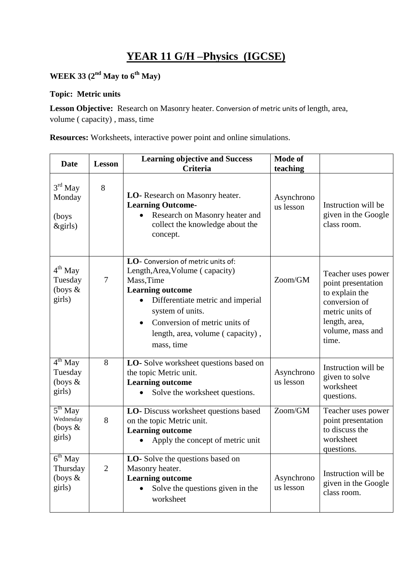# **YEAR 11 G/H –Physics (IGCSE)**

## **WEEK 33 (2nd May to 6th May)**

#### **Topic: Metric units**

**Lesson Objective:** Research on Masonry heater. Conversion of metric units of length, area, volume ( capacity) , mass, time

**Resources:** Worksheets, interactive power point and online simulations.

| <b>Date</b>                                       | <b>Lesson</b>  | <b>Learning objective and Success</b><br><b>Criteria</b>                                                                                                                                                                                                                | <b>Mode of</b><br>teaching |                                                                                                                                              |
|---------------------------------------------------|----------------|-------------------------------------------------------------------------------------------------------------------------------------------------------------------------------------------------------------------------------------------------------------------------|----------------------------|----------------------------------------------------------------------------------------------------------------------------------------------|
| 3 <sup>rd</sup> May<br>Monday<br>(boys<br>&girls) | 8              | LO-Research on Masonry heater.<br><b>Learning Outcome-</b><br>Research on Masonry heater and<br>collect the knowledge about the<br>concept.                                                                                                                             | Asynchrono<br>us lesson    | Instruction will be<br>given in the Google<br>class room.                                                                                    |
| $4th$ May<br>Tuesday<br>(boys $\&$<br>girls)      | $\overline{7}$ | LO- Conversion of metric units of:<br>Length, Area, Volume (capacity)<br>Mass, Time<br><b>Learning outcome</b><br>Differentiate metric and imperial<br>system of units.<br>Conversion of metric units of<br>$\bullet$<br>length, area, volume (capacity),<br>mass, time | Zoom/GM                    | Teacher uses power<br>point presentation<br>to explain the<br>conversion of<br>metric units of<br>length, area,<br>volume, mass and<br>time. |
| $4th$ May<br>Tuesday<br>(boys $\&$<br>girls)      | 8              | LO-Solve worksheet questions based on<br>the topic Metric unit.<br><b>Learning outcome</b><br>Solve the worksheet questions.                                                                                                                                            | Asynchrono<br>us lesson    | Instruction will be<br>given to solve<br>worksheet<br>questions.                                                                             |
| $5th$ May<br>Wednesday<br>(boys $\&$<br>girls)    | 8              | LO- Discuss worksheet questions based<br>on the topic Metric unit.<br><b>Learning outcome</b><br>Apply the concept of metric unit                                                                                                                                       | Zoom/GM                    | Teacher uses power<br>point presentation<br>to discuss the<br>worksheet<br>questions.                                                        |
| $6th$ May<br>Thursday<br>(boys $&$<br>girls)      | $\overline{2}$ | LO-Solve the questions based on<br>Masonry heater.<br><b>Learning outcome</b><br>Solve the questions given in the<br>worksheet                                                                                                                                          | Asynchrono<br>us lesson    | Instruction will be<br>given in the Google<br>class room.                                                                                    |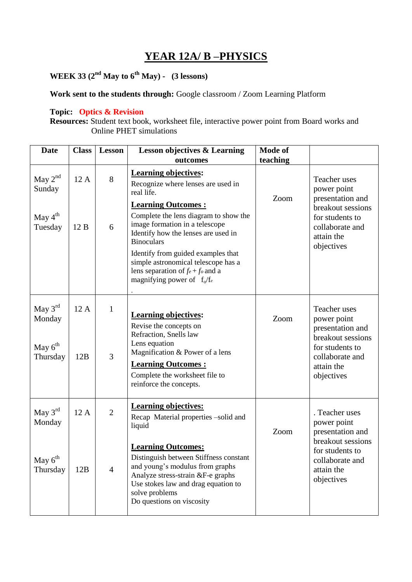### **YEAR 12A/ B –PHYSICS**

# **WEEK 33 (2nd May to 6th May) - (3 lessons)**

**Work sent to the students through:** Google classroom / Zoom Learning Platform

#### **Topic: Optics & Revision**

**Resources:** Student text book, worksheet file, interactive power point from Board works and Online PHET simulations

| <b>Date</b>                                               | <b>Class</b> | <b>Lesson</b>                    | <b>Lesson objectives &amp; Learning</b><br>outcomes                                                                                                                                                                                                                                                                                                                                                       | Mode of<br>teaching |                                                                                                                                          |
|-----------------------------------------------------------|--------------|----------------------------------|-----------------------------------------------------------------------------------------------------------------------------------------------------------------------------------------------------------------------------------------------------------------------------------------------------------------------------------------------------------------------------------------------------------|---------------------|------------------------------------------------------------------------------------------------------------------------------------------|
| May $2nd$<br>Sunday<br>May 4 <sup>th</sup><br>Tuesday     | 12 A<br>12B  | 8<br>6                           | <b>Learning objectives:</b><br>Recognize where lenses are used in<br>real life.<br><b>Learning Outcomes:</b><br>Complete the lens diagram to show the<br>image formation in a telescope<br>Identify how the lenses are used in<br><b>Binoculars</b><br>Identify from guided examples that<br>simple astronomical telescope has a<br>lens separation of $f_e + f_o$ and a<br>magnifying power of $f_0/f_e$ | Zoom                | Teacher uses<br>power point<br>presentation and<br>breakout sessions<br>for students to<br>collaborate and<br>attain the<br>objectives   |
| May $3rd$<br>Monday<br>May $6th$<br>Thursday              | 12 A<br>12B  | $\mathbf{1}$<br>3                | <b>Learning objectives:</b><br>Revise the concepts on<br>Refraction, Snells law<br>Lens equation<br>Magnification & Power of a lens<br><b>Learning Outcomes:</b><br>Complete the worksheet file to<br>reinforce the concepts.                                                                                                                                                                             | Zoom                | Teacher uses<br>power point<br>presentation and<br>breakout sessions<br>for students to<br>collaborate and<br>attain the<br>objectives   |
| May $3^{rd}$<br>Monday<br>May 6 <sup>th</sup><br>Thursday | 12 A<br>12B  | $\overline{2}$<br>$\overline{4}$ | <b>Learning objectives:</b><br>Recap Material properties -solid and<br>liquid<br><b>Learning Outcomes:</b><br>Distinguish between Stiffness constant<br>and young's modulus from graphs<br>Analyze stress-strain &F-e graphs<br>Use stokes law and drag equation to<br>solve problems<br>Do questions on viscosity                                                                                        | Zoom                | . Teacher uses<br>power point<br>presentation and<br>breakout sessions<br>for students to<br>collaborate and<br>attain the<br>objectives |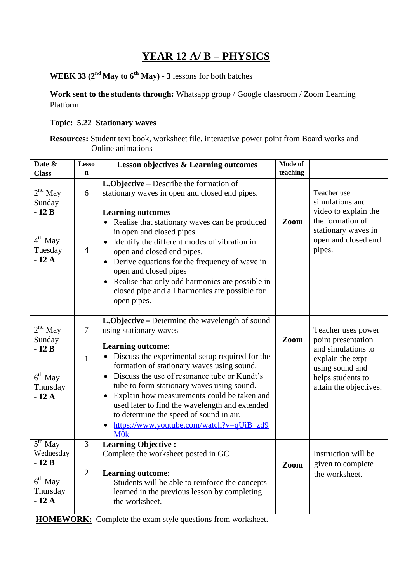## **YEAR 12 A/ B – PHYSICS**

**WEEK 33 (2nd May to 6th May) - 3** lessons for both batches

**Work sent to the students through:** Whatsapp group / Google classroom / Zoom Learning Platform

### **Topic: 5.22 Stationary waves**

**Resources:** Student text book, worksheet file, interactive power point from Board works and Online animations

| Date &<br><b>Class</b>                                              | <b>Lesso</b><br>$\mathbf n$    | Lesson objectives & Learning outcomes                                                                                                                                                                                                                                                                                                                                                                                                                                                                            | <b>Mode of</b><br>teaching |                                                                                                                                                      |
|---------------------------------------------------------------------|--------------------------------|------------------------------------------------------------------------------------------------------------------------------------------------------------------------------------------------------------------------------------------------------------------------------------------------------------------------------------------------------------------------------------------------------------------------------------------------------------------------------------------------------------------|----------------------------|------------------------------------------------------------------------------------------------------------------------------------------------------|
| $2nd$ May<br>Sunday<br>$-12B$<br>$4th$ May<br>Tuesday<br>$-12A$     | 6<br>$\overline{4}$            | <b>L.Objective</b> – Describe the formation of<br>stationary waves in open and closed end pipes.<br><b>Learning outcomes-</b><br>• Realise that stationary waves can be produced<br>in open and closed pipes.<br>Identify the different modes of vibration in<br>open and closed end pipes.<br>• Derive equations for the frequency of wave in<br>open and closed pipes<br>Realise that only odd harmonics are possible in<br>closed pipe and all harmonics are possible for<br>open pipes.                      | Zoom                       | Teacher use<br>simulations and<br>video to explain the<br>the formation of<br>stationary waves in<br>open and closed end<br>pipes.                   |
| $2nd$ May<br>Sunday<br>$-12B$<br>$6th$ May<br>Thursday<br>$-12A$    | $\overline{7}$<br>$\mathbf{1}$ | L.Objective - Determine the wavelength of sound<br>using stationary waves<br><b>Learning outcome:</b><br>• Discuss the experimental setup required for the<br>formation of stationary waves using sound.<br>• Discuss the use of resonance tube or Kundt's<br>tube to form stationary waves using sound.<br>• Explain how measurements could be taken and<br>used later to find the wavelength and extended<br>to determine the speed of sound in air.<br>https://www.youtube.com/watch?v=qUiB_zd9<br><b>MOK</b> | Zoom                       | Teacher uses power<br>point presentation<br>and simulations to<br>explain the expt<br>using sound and<br>helps students to<br>attain the objectives. |
| $5th$ May<br>Wednesday<br>$-12B$<br>$6th$ May<br>Thursday<br>$-12A$ | 3<br>$\overline{2}$            | <b>Learning Objective:</b><br>Complete the worksheet posted in GC<br><b>Learning outcome:</b><br>Students will be able to reinforce the concepts<br>learned in the previous lesson by completing<br>the worksheet.                                                                                                                                                                                                                                                                                               | Zoom                       | Instruction will be<br>given to complete<br>the worksheet.                                                                                           |

 **HOMEWORK:** Complete the exam style questions from worksheet.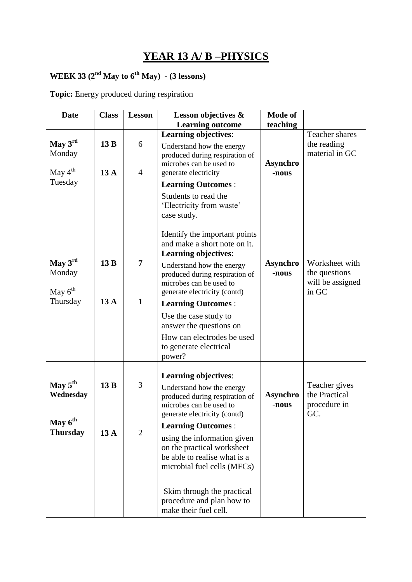# **YEAR 13 A/ B –PHYSICS**

### **WEEK 33** ( $2^{nd}$  **May to 6<sup>th</sup> May**) - (3 lessons)

**Topic:** Energy produced during respiration

| <b>Date</b>         | <b>Class</b> | <b>Lesson</b>  | Lesson objectives &                                         | Mode of                  |                  |
|---------------------|--------------|----------------|-------------------------------------------------------------|--------------------------|------------------|
|                     |              |                | <b>Learning outcome</b>                                     | teaching                 |                  |
|                     |              |                | <b>Learning objectives:</b>                                 |                          | Teacher shares   |
| May 3rd             | 13 B         | 6              | Understand how the energy                                   |                          | the reading      |
| Monday              |              |                | produced during respiration of                              |                          | material in GC   |
|                     |              |                | microbes can be used to                                     | <b>Asynchro</b>          |                  |
| May $4^{\text{th}}$ | 13A          | $\overline{4}$ | generate electricity                                        | -nous                    |                  |
| Tuesday             |              |                | <b>Learning Outcomes:</b>                                   |                          |                  |
|                     |              |                | Students to read the                                        |                          |                  |
|                     |              |                | 'Electricity from waste'                                    |                          |                  |
|                     |              |                | case study.                                                 |                          |                  |
|                     |              |                |                                                             |                          |                  |
|                     |              |                | Identify the important points                               |                          |                  |
|                     |              |                | and make a short note on it.                                |                          |                  |
| May $3rd$           | 13 B         | 7              | <b>Learning objectives:</b>                                 |                          | Worksheet with   |
| Monday              |              |                | Understand how the energy                                   | <b>Asynchro</b><br>-nous | the questions    |
|                     |              |                | produced during respiration of<br>microbes can be used to   |                          | will be assigned |
| May $6^{\text{th}}$ |              |                | generate electricity (contd)                                |                          | in GC            |
| Thursday            | 13A          | $\mathbf{1}$   | <b>Learning Outcomes:</b>                                   |                          |                  |
|                     |              |                | Use the case study to                                       |                          |                  |
|                     |              |                | answer the questions on                                     |                          |                  |
|                     |              |                | How can electrodes be used                                  |                          |                  |
|                     |              |                | to generate electrical                                      |                          |                  |
|                     |              |                | power?                                                      |                          |                  |
|                     |              |                | <b>Learning objectives:</b>                                 |                          |                  |
| May 5 <sup>th</sup> | 13B          | 3              |                                                             |                          | Teacher gives    |
| Wednesday           |              |                | Understand how the energy<br>produced during respiration of | Asynchro                 | the Practical    |
|                     |              |                | microbes can be used to                                     | -nous                    | procedure in     |
|                     |              |                | generate electricity (contd)                                |                          | GC.              |
| May $6^{\text{th}}$ |              |                | <b>Learning Outcomes:</b>                                   |                          |                  |
| <b>Thursday</b>     | 13A          | $\mathfrak{2}$ | using the information given                                 |                          |                  |
|                     |              |                | on the practical worksheet                                  |                          |                  |
|                     |              |                | be able to realise what is a                                |                          |                  |
|                     |              |                | microbial fuel cells (MFCs)                                 |                          |                  |
|                     |              |                |                                                             |                          |                  |
|                     |              |                | Skim through the practical                                  |                          |                  |
|                     |              |                | procedure and plan how to                                   |                          |                  |
|                     |              |                | make their fuel cell.                                       |                          |                  |